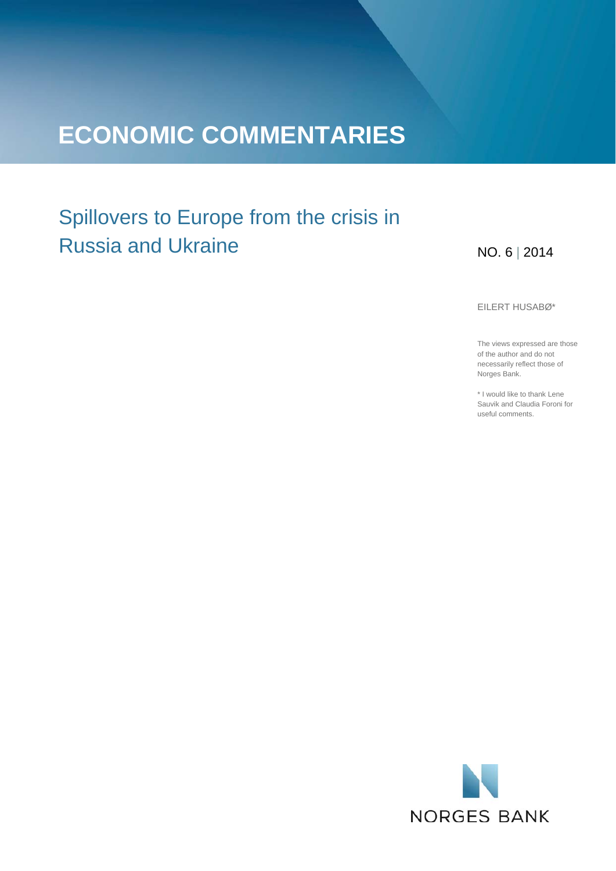# **ECONOMIC COMMENTARIES**

# Spillovers to Europe from the crisis in Russia and Ukraine

### NO. 6 | 2014

EILERT HUSABØ\*

The views expressed are those of the author and do not necessarily reflect those of Norges Bank.

\* I would like to thank Lene Sauvik and Claudia Foroni for useful comments.

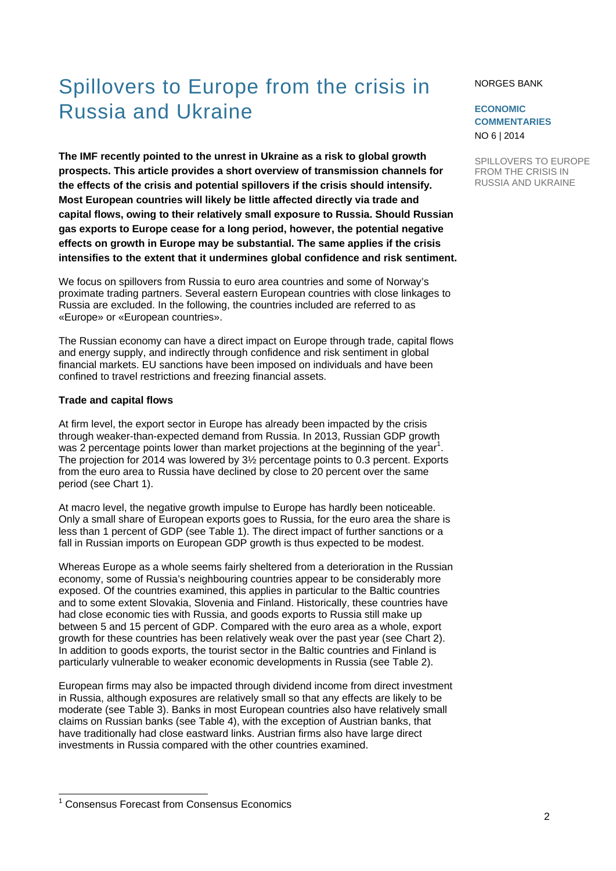# Spillovers to Europe from the crisis in Russia and Ukraine

**The IMF recently pointed to the unrest in Ukraine as a risk to global growth prospects. This article provides a short overview of transmission channels for the effects of the crisis and potential spillovers if the crisis should intensify. Most European countries will likely be little affected directly via trade and capital flows, owing to their relatively small exposure to Russia. Should Russian gas exports to Europe cease for a long period, however, the potential negative effects on growth in Europe may be substantial. The same applies if the crisis intensifies to the extent that it undermines global confidence and risk sentiment.** 

We focus on spillovers from Russia to euro area countries and some of Norway's proximate trading partners. Several eastern European countries with close linkages to Russia are excluded. In the following, the countries included are referred to as «Europe» or «European countries».

The Russian economy can have a direct impact on Europe through trade, capital flows and energy supply, and indirectly through confidence and risk sentiment in global financial markets. EU sanctions have been imposed on individuals and have been confined to travel restrictions and freezing financial assets.

#### **Trade and capital flows**

l

At firm level, the export sector in Europe has already been impacted by the crisis through weaker-than-expected demand from Russia. In 2013, Russian GDP growth was 2 percentage points lower than market projections at the beginning of the year<sup>1</sup>. The projection for 2014 was lowered by 3½ percentage points to 0.3 percent. Exports from the euro area to Russia have declined by close to 20 percent over the same period (see Chart 1).

At macro level, the negative growth impulse to Europe has hardly been noticeable. Only a small share of European exports goes to Russia, for the euro area the share is less than 1 percent of GDP (see Table 1). The direct impact of further sanctions or a fall in Russian imports on European GDP growth is thus expected to be modest.

Whereas Europe as a whole seems fairly sheltered from a deterioration in the Russian economy, some of Russia's neighbouring countries appear to be considerably more exposed. Of the countries examined, this applies in particular to the Baltic countries and to some extent Slovakia, Slovenia and Finland. Historically, these countries have had close economic ties with Russia, and goods exports to Russia still make up between 5 and 15 percent of GDP. Compared with the euro area as a whole, export growth for these countries has been relatively weak over the past year (see Chart 2). In addition to goods exports, the tourist sector in the Baltic countries and Finland is particularly vulnerable to weaker economic developments in Russia (see Table 2).

European firms may also be impacted through dividend income from direct investment in Russia, although exposures are relatively small so that any effects are likely to be moderate (see Table 3). Banks in most European countries also have relatively small claims on Russian banks (see Table 4), with the exception of Austrian banks, that have traditionally had close eastward links. Austrian firms also have large direct investments in Russia compared with the other countries examined.

### <sup>1</sup> Consensus Forecast from Consensus Economics

#### NORGES BANK

### **ECONOMIC COMMENTARIES**  NO 6 | 2014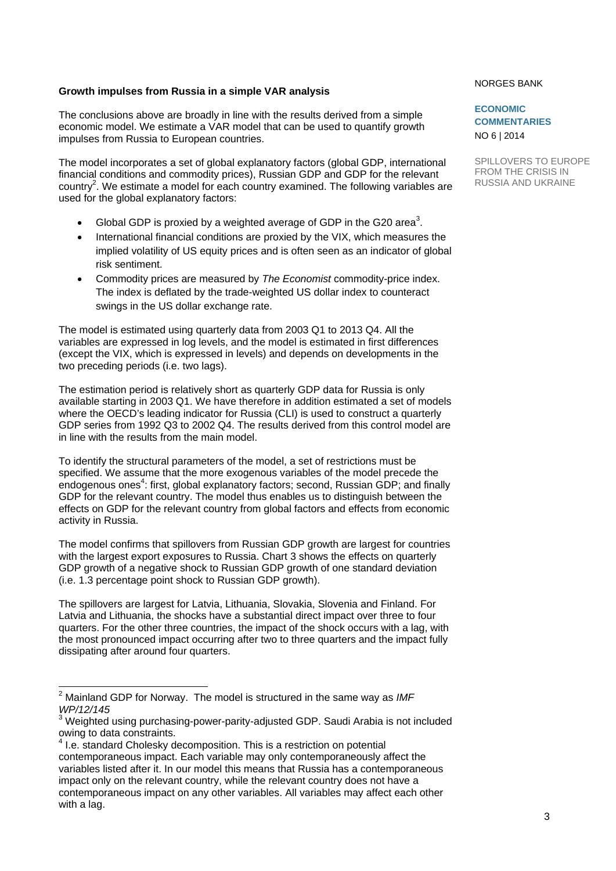### **Growth impulses from Russia in a simple VAR analysis**

The conclusions above are broadly in line with the results derived from a simple economic model. We estimate a VAR model that can be used to quantify growth impulses from Russia to European countries.

The model incorporates a set of global explanatory factors (global GDP, international financial conditions and commodity prices), Russian GDP and GDP for the relevant country<sup>2</sup>. We estimate a model for each country examined. The following variables are used for the global explanatory factors:

- Global GDP is proxied by a weighted average of GDP in the G20 area<sup>3</sup>.
- International financial conditions are proxied by the VIX, which measures the implied volatility of US equity prices and is often seen as an indicator of global risk sentiment.
- Commodity prices are measured by *The Economist* commodity-price index. The index is deflated by the trade-weighted US dollar index to counteract swings in the US dollar exchange rate.

The model is estimated using quarterly data from 2003 Q1 to 2013 Q4. All the variables are expressed in log levels, and the model is estimated in first differences (except the VIX, which is expressed in levels) and depends on developments in the two preceding periods (i.e. two lags).

The estimation period is relatively short as quarterly GDP data for Russia is only available starting in 2003 Q1. We have therefore in addition estimated a set of models where the OECD's leading indicator for Russia (CLI) is used to construct a quarterly GDP series from 1992 Q3 to 2002 Q4. The results derived from this control model are in line with the results from the main model.

To identify the structural parameters of the model, a set of restrictions must be specified. We assume that the more exogenous variables of the model precede the endogenous ones<sup>4</sup>: first, global explanatory factors; second, Russian GDP; and finally GDP for the relevant country. The model thus enables us to distinguish between the effects on GDP for the relevant country from global factors and effects from economic activity in Russia.

The model confirms that spillovers from Russian GDP growth are largest for countries with the largest export exposures to Russia. Chart 3 shows the effects on quarterly GDP growth of a negative shock to Russian GDP growth of one standard deviation (i.e. 1.3 percentage point shock to Russian GDP growth).

The spillovers are largest for Latvia, Lithuania, Slovakia, Slovenia and Finland. For Latvia and Lithuania, the shocks have a substantial direct impact over three to four quarters. For the other three countries, the impact of the shock occurs with a lag, with the most pronounced impact occurring after two to three quarters and the impact fully dissipating after around four quarters.

#### NORGES BANK

### **ECONOMIC COMMENTARIES**  NO 6 | 2014

 2 Mainland GDP for Norway. The model is structured in the same way as *IMF WP/12/145* 

 $3$  Weighted using purchasing-power-parity-adjusted GDP. Saudi Arabia is not included owing to data constraints.

<sup>&</sup>lt;sup>4</sup> I.e. standard Cholesky decomposition. This is a restriction on potential contemporaneous impact. Each variable may only contemporaneously affect the variables listed after it. In our model this means that Russia has a contemporaneous impact only on the relevant country, while the relevant country does not have a contemporaneous impact on any other variables. All variables may affect each other with a lag.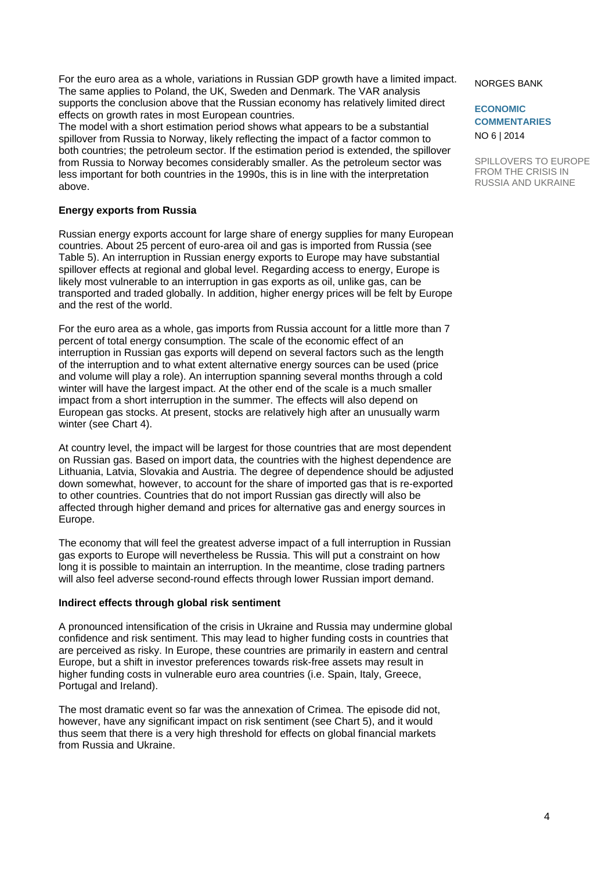For the euro area as a whole, variations in Russian GDP growth have a limited impact. The same applies to Poland, the UK, Sweden and Denmark. The VAR analysis supports the conclusion above that the Russian economy has relatively limited direct effects on growth rates in most European countries.

The model with a short estimation period shows what appears to be a substantial spillover from Russia to Norway, likely reflecting the impact of a factor common to both countries; the petroleum sector. If the estimation period is extended, the spillover from Russia to Norway becomes considerably smaller. As the petroleum sector was less important for both countries in the 1990s, this is in line with the interpretation above.

### **Energy exports from Russia**

Russian energy exports account for large share of energy supplies for many European countries. About 25 percent of euro-area oil and gas is imported from Russia (see Table 5). An interruption in Russian energy exports to Europe may have substantial spillover effects at regional and global level. Regarding access to energy, Europe is likely most vulnerable to an interruption in gas exports as oil, unlike gas, can be transported and traded globally. In addition, higher energy prices will be felt by Europe and the rest of the world.

For the euro area as a whole, gas imports from Russia account for a little more than 7 percent of total energy consumption. The scale of the economic effect of an interruption in Russian gas exports will depend on several factors such as the length of the interruption and to what extent alternative energy sources can be used (price and volume will play a role). An interruption spanning several months through a cold winter will have the largest impact. At the other end of the scale is a much smaller impact from a short interruption in the summer. The effects will also depend on European gas stocks. At present, stocks are relatively high after an unusually warm winter (see Chart 4).

At country level, the impact will be largest for those countries that are most dependent on Russian gas. Based on import data, the countries with the highest dependence are Lithuania, Latvia, Slovakia and Austria. The degree of dependence should be adjusted down somewhat, however, to account for the share of imported gas that is re-exported to other countries. Countries that do not import Russian gas directly will also be affected through higher demand and prices for alternative gas and energy sources in Europe.

The economy that will feel the greatest adverse impact of a full interruption in Russian gas exports to Europe will nevertheless be Russia. This will put a constraint on how long it is possible to maintain an interruption. In the meantime, close trading partners will also feel adverse second-round effects through lower Russian import demand.

### **Indirect effects through global risk sentiment**

A pronounced intensification of the crisis in Ukraine and Russia may undermine global confidence and risk sentiment. This may lead to higher funding costs in countries that are perceived as risky. In Europe, these countries are primarily in eastern and central Europe, but a shift in investor preferences towards risk-free assets may result in higher funding costs in vulnerable euro area countries (i.e. Spain, Italy, Greece, Portugal and Ireland).

The most dramatic event so far was the annexation of Crimea. The episode did not, however, have any significant impact on risk sentiment (see Chart 5), and it would thus seem that there is a very high threshold for effects on global financial markets from Russia and Ukraine.

#### NORGES BANK

**ECONOMIC COMMENTARIES**  NO 6 | 2014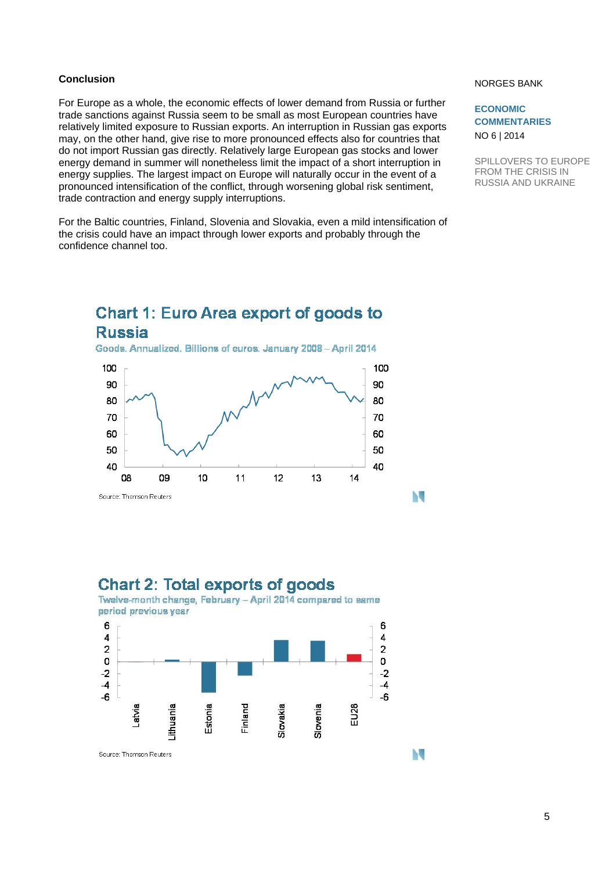### **Conclusion**

For Europe as a whole, the economic effects of lower demand from Russia or further trade sanctions against Russia seem to be small as most European countries have relatively limited exposure to Russian exports. An interruption in Russian gas exports may, on the other hand, give rise to more pronounced effects also for countries that do not import Russian gas directly. Relatively large European gas stocks and lower energy demand in summer will nonetheless limit the impact of a short interruption in energy supplies. The largest impact on Europe will naturally occur in the event of a pronounced intensification of the conflict, through worsening global risk sentiment, trade contraction and energy supply interruptions.

For the Baltic countries, Finland, Slovenia and Slovakia, even a mild intensification of the crisis could have an impact through lower exports and probably through the confidence channel too.

#### NORGES BANK

**ECONOMIC COMMENTARIES**  NO 6 | 2014

N

N

SPILLOVERS TO EUROPE FROM THE CRISIS IN RUSSIA AND UKRAINE

### **Chart 1: Euro Area export of goods to Russia** Goods. Annualized. Billions of euros. January 2008 - April 2014 100 100 90 90



### **Chart 2: Total exports of goods**

Twelve-month change, February - April 2014 compared to same period previous year

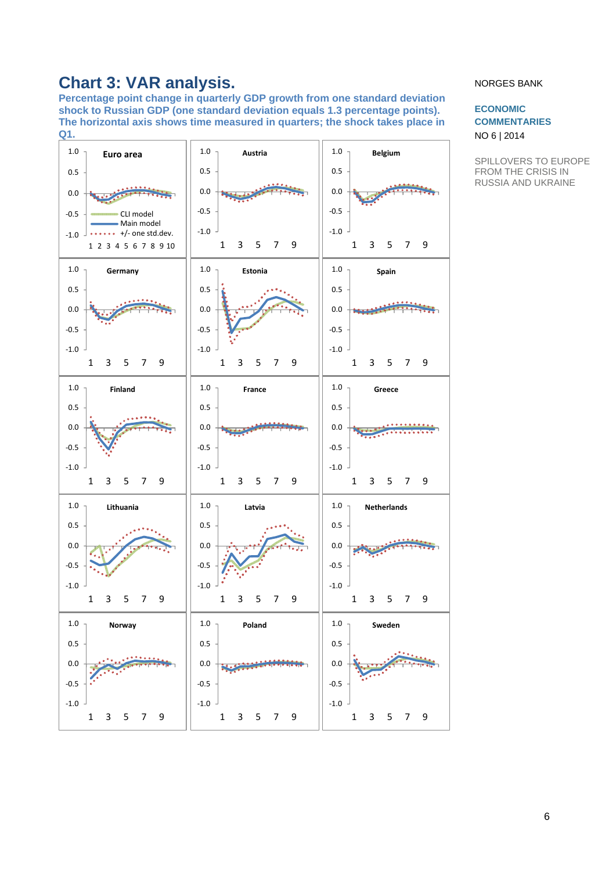# **Chart 3: VAR analysis.**

**Percentage point change in quarterly GDP growth from one standard deviation shock to Russian GDP (one standard deviation equals 1.3 percentage points). The horizontal axis shows time measured in quarters; the shock takes place in Q1.** 



### NORGES BANK

### **ECONOMIC COMMENTARIES**  NO 6 | 2014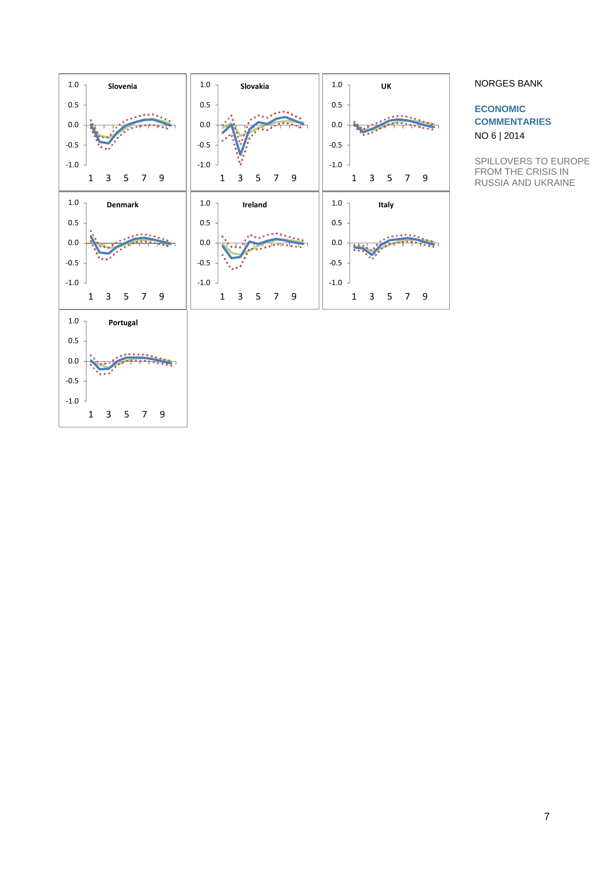

### NORGES BANK

**ECONOMIC COMMENTARIES**  NO 6 | 2014

SPILLOVERS TO EUROPE FROM THE CRISIS IN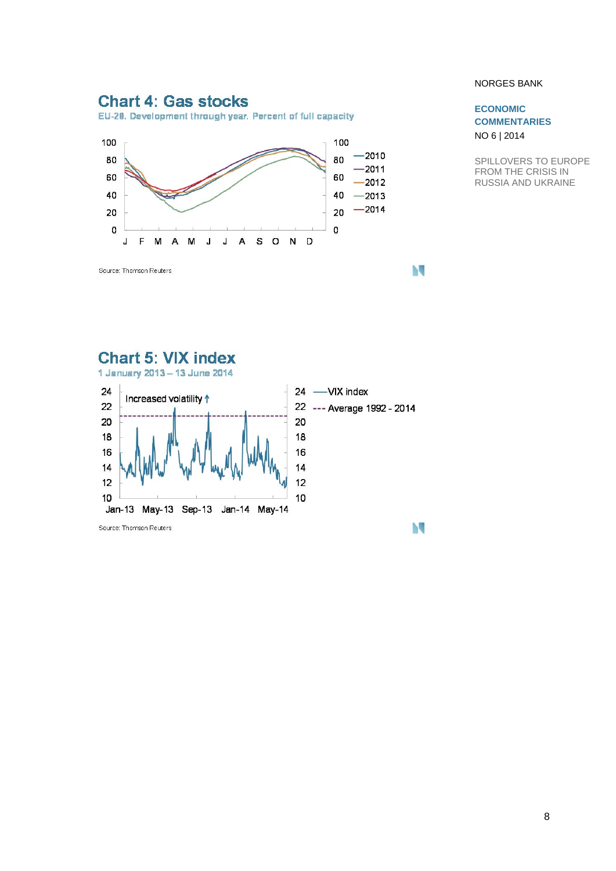### **Chart 4: Gas stocks**

EU-28. Development through year. Percent of full capacity



### NORGES BANK

### **ECONOMIC COMMENTARIES**  NO 6 | 2014

SPILLOVERS TO EUROPE FROM THE CRISIS IN RUSSIA AND UKRAINE



N

N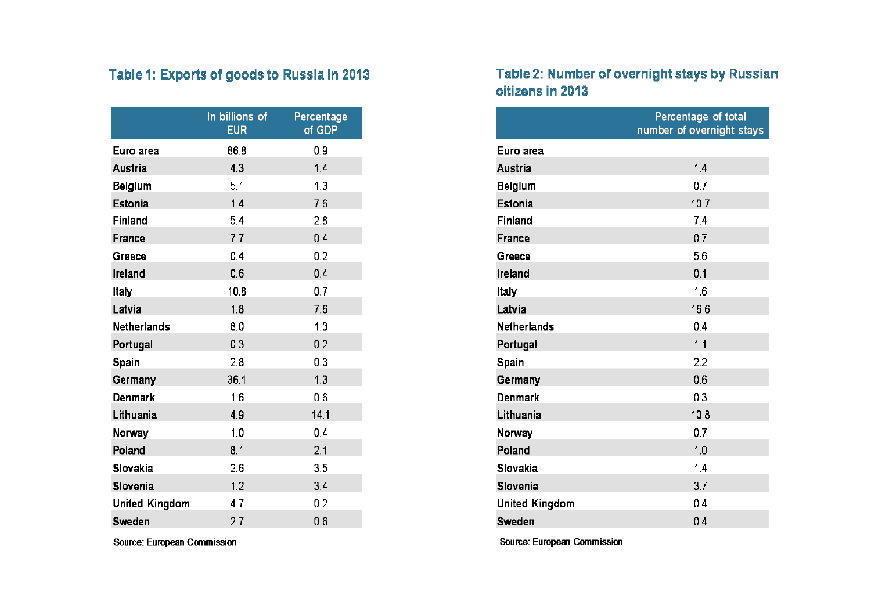## Table 1: Exports of goods to Russia in 2013

|                       | In billions of<br><b>EUR</b> | Percentage<br>of GDP |
|-----------------------|------------------------------|----------------------|
| Euro area             | 86.8                         | 0.9                  |
| Austria               | 4.3                          | 14                   |
| Belgium               | 5.1                          | 13                   |
| Estonia               | 1.4                          | 76                   |
| Finland               | 5.4                          | 2.8                  |
| France                | 7.7                          | 0.4                  |
| Greece                | 0.4                          | 0.2                  |
| Ireland               | 0.6                          | 0.4                  |
| Italy                 | 10.8                         | 0.7                  |
| Latvia                | 1.8                          | 76                   |
| <b>Netherlands</b>    | 8.0                          | 13                   |
| Portugal              | 0.3                          | 0.2                  |
| Spain                 | 2.8                          | 0.3                  |
| Germany               | 36.1                         | 13                   |
| <b>Denmark</b>        | 1.6                          | 0.6                  |
| Lithuania             | 4.9                          | 14.1                 |
| Norway                | 1.0                          | 0.4                  |
| Poland                | 8.1                          | 2.1                  |
| Slovakia              | 2.6                          | 3.5                  |
| Slovenia              | 1.2                          | 34                   |
| <b>United Kingdom</b> | 4.7                          | 0.2                  |
| Sweden                | 2.7                          | 06                   |

### Source: European Commission

### Table 2: Number of overnight stays by Russian citizens in 2013

|                    | Percentage of total<br>number of overnight stays |
|--------------------|--------------------------------------------------|
| Euro area          |                                                  |
| <b>Austria</b>     | 14                                               |
| <b>Belgium</b>     | 0.7                                              |
| Estonia            | 10.7                                             |
| Finland            | 7.4                                              |
| France             | 0.7                                              |
| Greece             | 5.6                                              |
| Ireland            | 0.1                                              |
| Italy              | 1.6                                              |
| Latvia             | 16.6                                             |
| <b>Netherlands</b> | 0.4                                              |
| Portugal           | 1.1                                              |
| Spain              | 2.2                                              |
| Germany            | 0.6                                              |
| Denmark            | 0.3                                              |
| Lithuania          | 10.8                                             |
| Norway             | 0.7                                              |
| Poland             | 10                                               |
| Slovakia           | 1.4                                              |
| Slovenia           | 37                                               |
| United Kingdom     | 0.4                                              |
| Sweden             | 0.4                                              |

Source: European Commission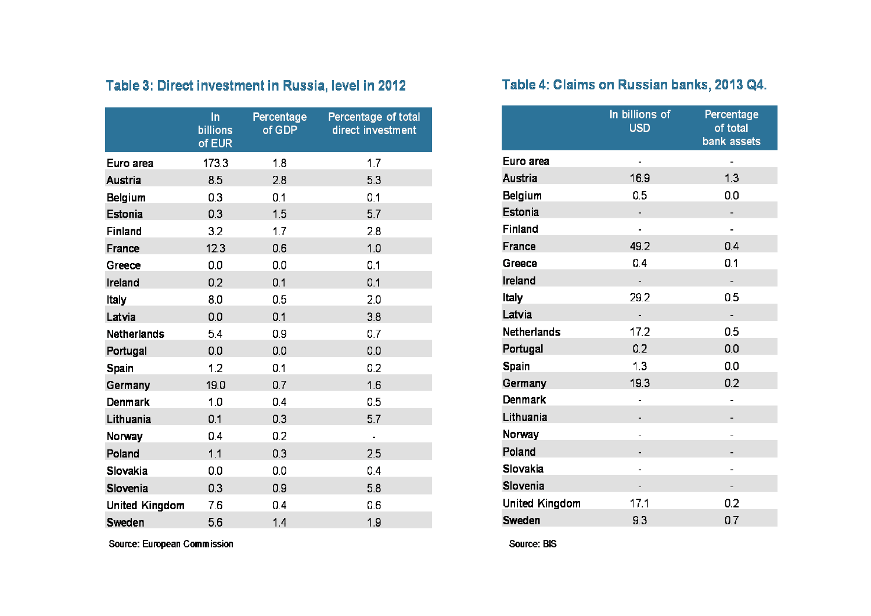|                       | In<br><b>billions</b><br>of EUR | Percentage<br>of GDP | Percentage of total<br>direct investment |
|-----------------------|---------------------------------|----------------------|------------------------------------------|
| Euro area             | 173.3                           | 1.8                  | 1.7                                      |
| Austria               | 8.5                             | 2.8                  | 5.3                                      |
| Belgium               | 0.3                             | 0.1                  | 0.1                                      |
| Estonia               | 0.3                             | 1.5                  | 5.7                                      |
| Finland               | 3.2                             | 1.7                  | 2.8                                      |
| France                | 12.3                            | 0.6                  | 1.0                                      |
| Greece                | 0.0                             | 0.0                  | 0.1                                      |
| Ireland               | 0.2                             | 0.1                  | 0.1                                      |
| Italy                 | 8.0                             | 0.5                  | 2.0                                      |
| Latvia                | 0.0                             | 0.1                  | 3.8                                      |
| <b>Netherlands</b>    | 5.4                             | 0.9                  | 0.7                                      |
| Portugal              | 0.0                             | 0.0                  | 0.0                                      |
| Spain                 | 1.2                             | 0.1                  | 0.2                                      |
| Germany               | 19.0                            | 0.7                  | 1.6                                      |
| Denmark               | 1.0                             | 0.4                  | 0.5                                      |
| Lithuania             | 0.1                             | 0.3                  | 5.7                                      |
| Norway                | 0.4                             | 0.2                  | $\overline{a}$                           |
| Poland                | 1.1                             | 0.3                  | 2.5                                      |
| Slovakia              | 0.0                             | 0.0                  | 0.4                                      |
| Slovenia              | 0.3                             | 0.9                  | 5.8                                      |
| <b>United Kingdom</b> | 7.6                             | 0.4                  | 0.6                                      |
| Sweden                | 56                              | 1.4                  | 1.9                                      |

# Table 3: Direct investment in Russia, level in 2012

Source: European Commission

# Table 4: Claims on Russian banks, 2013 Q4.

|                       | In billions of<br><b>USD</b> | Percentage<br>of total<br>bank assets |
|-----------------------|------------------------------|---------------------------------------|
| Euro area             |                              |                                       |
| Austria               | 16.9                         | 1.3                                   |
| Belgium               | 0.5                          | 0.0                                   |
| Estonia               |                              |                                       |
| Finland               |                              |                                       |
| France                | 49.2                         | 0.4                                   |
| Greece                | 0.4                          | 0.1                                   |
| Ireland               |                              |                                       |
| Italy                 | 29.2                         | 0.5                                   |
| Latvia                |                              |                                       |
| Netherlands           | 17.2                         | 0.5                                   |
| Portugal              | 0.2                          | 0.0                                   |
| Spain                 | 1.3                          | 0.0                                   |
| Germany               | 19.3                         | 0.2                                   |
| Denmark               |                              |                                       |
| Lithuania             |                              |                                       |
| Norway                |                              |                                       |
| Poland                |                              |                                       |
| Slovakia              |                              |                                       |
| Slovenia              |                              |                                       |
| <b>United Kingdom</b> | 17.1                         | 0.2                                   |
| Sweden                | 93                           | 0.7                                   |

Source: BIS